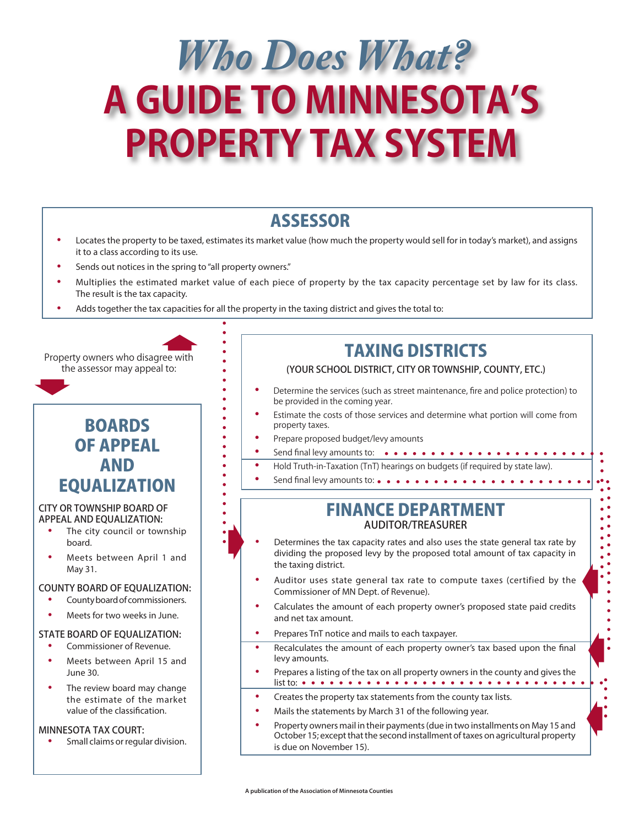# *Who Does What?* **A GUIDE TO MINNESOTA'S PROPERTY TAX SYSTEM**

- **ASSESSOR**<br>• Locates the property to be taxed, estimates its market value (how much the property would sell for in today's market), and assigns it to a class according to its use.
- Sends out notices in the spring to "all property owners."
- Multiplies the estimated market value of each piece of property by the tax capacity percentage set by law for its class. The result is the tax capacity.
- Adds together the tax capacities for all the property in the taxing district and gives the total to:

 $\blacktriangleright$ 

Property owners who disagree with the assessor may appeal to:

## BOARDS OF APPEAL AND EQUALIZATION

#### CITY OR TOWNSHIP BOARD OF APPEAL AND EQUALIZATION:

- The city council or township board.
- Meets between April 1 and May 31.

#### COUNTY BOARD OF EQUALIZATION:

- County board of commissioners.
- Meets for two weeks in June.

#### STATE BOARD OF EQUALIZATION:

- Commissioner of Revenue.
- Meets between April 15 and June 30.
- The review board may change the estimate of the market value of the classification.

#### MINNESOTA TAX COURT:

• Small claims or regular division.

## TAXING DISTRICTS

### (YOUR SCHOOL DISTRICT, CITY OR TOWNSHIP, COUNTY, ETC.)

- Determine the services (such as street maintenance, fire and police protection) to be provided in the coming year.
- Estimate the costs of those services and determine what portion will come from property taxes.
- Prepare proposed budget/levy amounts
- • Send final levy amounts to:
- Hold Truth-in-Taxation (TnT) hearings on budgets (if required by state law). Send final levy amounts to:  $\bullet \bullet \bullet \bullet \bullet \bullet \bullet \bullet \bullet \bullet \bullet \bullet \bullet \bullet \bullet \bullet \bullet$

### FINANCE DEPARTMENT AUDITOR/TREASURER

- Determines the tax capacity rates and also uses the state general tax rate by dividing the proposed levy by the proposed total amount of tax capacity in the taxing district.
- Auditor uses state general tax rate to compute taxes (certified by the Commissioner of MN Dept. of Revenue).
- Calculates the amount of each property owner's proposed state paid credits and net tax amount.
- Prepares TnT notice and mails to each taxpayer.
- Recalculates the amount of each property owner's tax based upon the final levy amounts.
- Prepares a listing of the tax on all property owners in the county and gives the list to: •••••••••••••••••••••••••••••
- Creates the property tax statements from the county tax lists.
- Mails the statements by March 31 of the following year.
- Property owners mail in their payments (due in two installments on May 15 and October 15; except that the second installment of taxes on agricultural property is due on November 15).

 $\blacklozenge$ 

 $\blacklozenge$ 

 $\blacklozenge$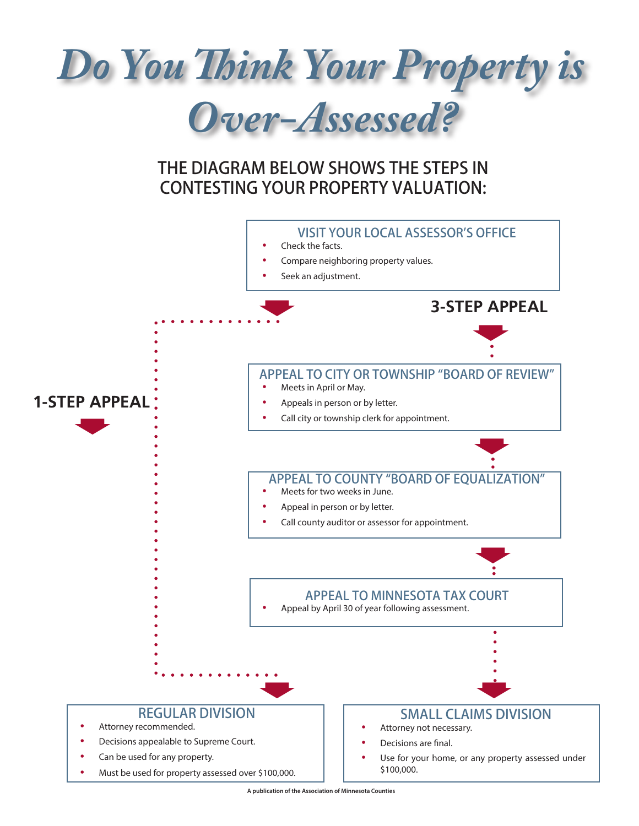

**A publication of the Association of Minnesota Counties**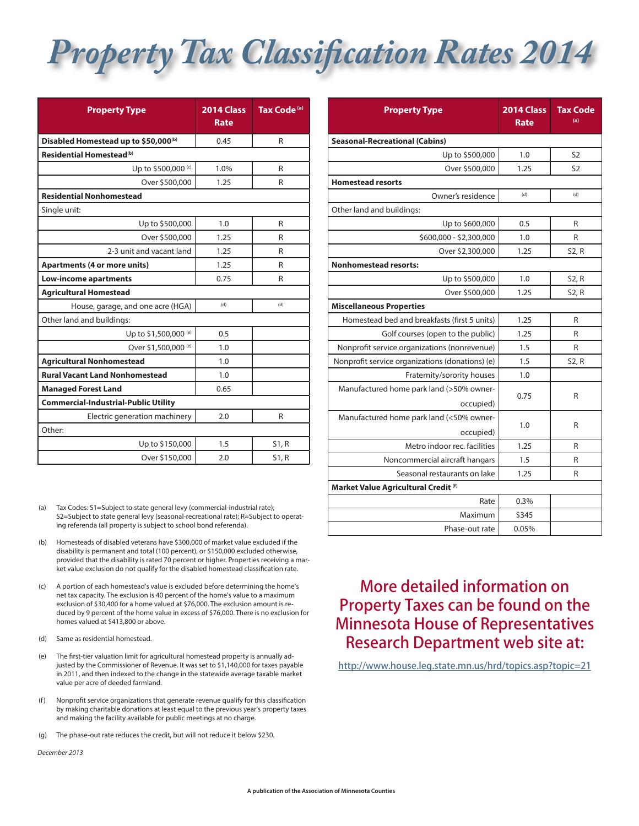## *Property Tax Classification Rates 2014*

| <b>Property Type</b>                             | 2014 Class<br><b>Rate</b> | Tax Code <sup>(a)</sup> |
|--------------------------------------------------|---------------------------|-------------------------|
| Disabled Homestead up to \$50,000 <sup>(b)</sup> | 0.45                      | R                       |
| Residential Homestead <sup>(b)</sup>             |                           |                         |
| Up to \$500,000 <sup>(c)</sup>                   | 1.0%                      | R                       |
| Over \$500,000                                   | 1.25                      | R                       |
| <b>Residential Nonhomestead</b>                  |                           |                         |
| Single unit:                                     |                           |                         |
| Up to \$500,000                                  | 1.0                       | R                       |
| Over \$500,000                                   | 1.25                      | R                       |
| 2-3 unit and vacant land                         | 1.25                      | R                       |
| <b>Apartments (4 or more units)</b>              | 1.25                      | R                       |
| <b>Low-income apartments</b>                     | 0.75                      | R                       |
| <b>Agricultural Homestead</b>                    |                           |                         |
| House, garage, and one acre (HGA)                | (d)                       | (d)                     |
| Other land and buildings:                        |                           |                         |
| Up to \$1,500,000 (e)                            | 0.5                       |                         |
| Over \$1,500,000 (e)                             | 1.0                       |                         |
| <b>Agricultural Nonhomestead</b>                 | 1.0                       |                         |
| <b>Rural Vacant Land Nonhomestead</b>            | 1.0                       |                         |
| <b>Managed Forest Land</b>                       | 0.65                      |                         |
| <b>Commercial-Industrial-Public Utility</b>      |                           |                         |
| Electric generation machinery                    | 2.0                       | R                       |
| Other:                                           |                           |                         |
| Up to \$150,000                                  | 1.5                       | S1, R                   |
| Over \$150,000                                   | 2.0                       | S1, R                   |

(a) Tax Codes: S1=Subject to state general levy (commercial-industrial rate); S2=Subject to state general levy (seasonal-recreational rate); R=Subject to operating referenda (all property is subject to school bond referenda).

- (b) Homesteads of disabled veterans have \$300,000 of market value excluded if the disability is permanent and total (100 percent), or \$150,000 excluded otherwise, provided that the disability is rated 70 percent or higher. Properties receiving a market value exclusion do not qualify for the disabled homestead classification rate.
- (c) A portion of each homestead's value is excluded before determining the home's net tax capacity. The exclusion is 40 percent of the home's value to a maximum exclusion of \$30,400 for a home valued at \$76,000. The exclusion amount is reduced by 9 percent of the home value in excess of \$76,000. There is no exclusion for homes valued at \$413,800 or above.
- (d) Same as residential homestead.
- (e) The first-tier valuation limit for agricultural homestead property is annually adjusted by the Commissioner of Revenue. It was set to \$1,140,000 for taxes payable in 2011, and then indexed to the change in the statewide average taxable market value per acre of deeded farmland.
- (f) Nonprofit service organizations that generate revenue qualify for this classification by making charitable donations at least equal to the previous year's property taxes and making the facility available for public meetings at no charge.
- (g) The phase-out rate reduces the credit, but will not reduce it below \$230.

*December 2013*

| <b>Property Type</b>                            | 2014 Class<br><b>Rate</b> | <b>Tax Code</b><br>(a) |
|-------------------------------------------------|---------------------------|------------------------|
| <b>Seasonal-Recreational (Cabins)</b>           |                           |                        |
| Up to \$500,000                                 | 1.0                       | S <sub>2</sub>         |
| Over \$500,000                                  | 1.25                      | S <sub>2</sub>         |
| <b>Homestead resorts</b>                        |                           |                        |
| Owner's residence                               | (d)                       | (d)                    |
| Other land and buildings:                       |                           |                        |
| Up to \$600,000                                 | 0.5                       | R                      |
| \$600,000 - \$2,300,000                         | 1.0                       | R                      |
| Over \$2,300,000                                | 1.25                      | S2, R                  |
| <b>Nonhomestead resorts:</b>                    |                           |                        |
| Up to \$500,000                                 | 1.0                       | S2, R                  |
| Over \$500,000                                  | 1.25                      | S2, R                  |
| <b>Miscellaneous Properties</b>                 |                           |                        |
| Homestead bed and breakfasts (first 5 units)    | 1.25                      | R                      |
| Golf courses (open to the public)               | 1.25                      | R                      |
| Nonprofit service organizations (nonrevenue)    | 1.5                       | R                      |
| Nonprofit service organizations (donations) (e) | 1.5                       | S2, R                  |
| Fraternity/sorority houses                      | 1.0                       |                        |
| Manufactured home park land (>50% owner-        | 0.75                      | R                      |
| occupied)                                       |                           |                        |
| Manufactured home park land (<50% owner-        | 1.0                       | R                      |
| occupied)                                       |                           |                        |
| Metro indoor rec. facilities                    | 1.25                      | R                      |
| Noncommercial aircraft hangars                  | 1.5                       | R                      |
| Seasonal restaurants on lake                    | 1.25                      | R                      |
| Market Value Agricultural Credit (f)            |                           |                        |
| Rate                                            | 0.3%                      |                        |
| Maximum                                         | \$345                     |                        |
| Phase-out rate                                  | 0.05%                     |                        |

## More detailed information on Property Taxes can be found on the Minnesota House of Representatives Research Department web site at:

http://www.house.leg.state.mn.us/hrd/topics.asp?topic=21